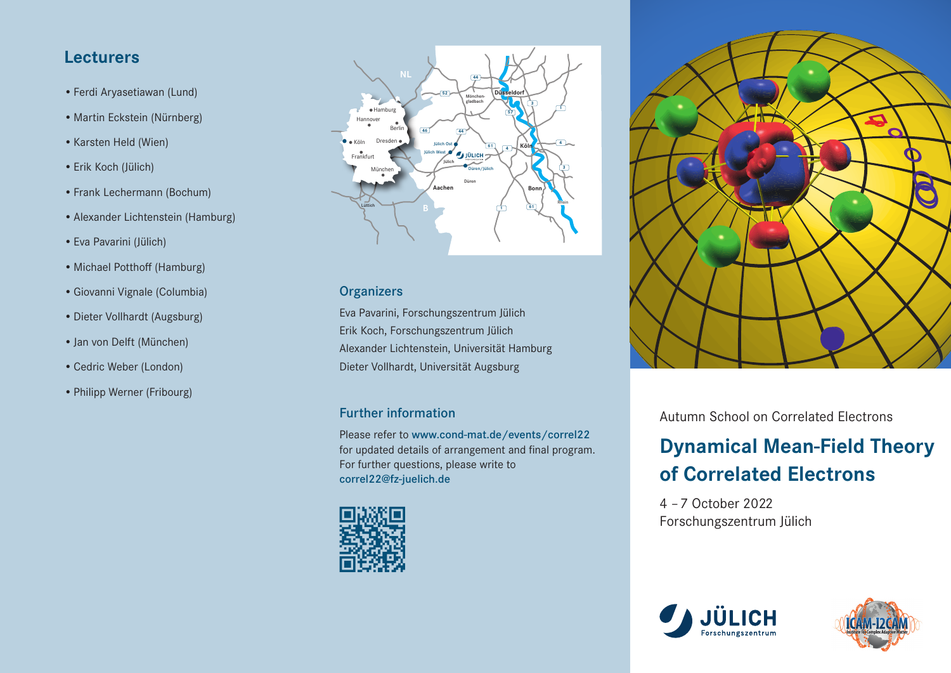# **Lecturers**

- •Ferdi Aryasetiawan (Lund)
- Martin Eckstein (Nürnberg)
- •Karsten Held (Wien)
- •Erik Koch (Jülich)
- •Frank Lechermann (Bochum)
- •Alexander Lichtenstein (Hamburg)
- •Eva Pavarini (Jülich)
- •Michael Potthoff (Hamburg)
- •Giovanni Vignale (Columbia)
- •Dieter Vollhardt (Augsburg)
- •Jan von Delft (München)
- •Cedric Weber (London)
- •Philipp Werner (Fribourg)



## **Organizers**

Eva Pavarini, Forschungszentrum Jülich Erik Koch, Forschungszentrum Jülich Alexander Lichtenstein, Universität Hamburg Dieter Vollhardt, Universität Augsburg

# Further information

Please refer to www.cond-mat.de/events/correl22 for updated details of arrangement and final program. For further questions, please write to correl22@fz-juelich.de





Autumn School on Correlated Electrons

# **Dynamical Mean-Field Theory of Correlated Electrons**

4 – 7 October 2022 Forschungszentrum Jülich